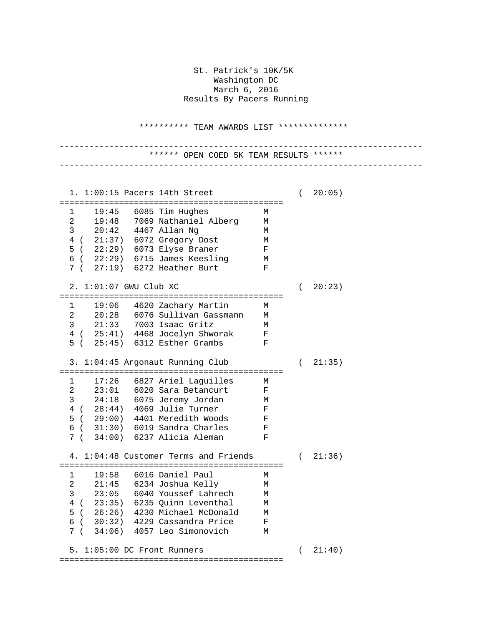St. Patrick's 10K/5K Washington DC March 6, 2016 Results By Pacers Running

\*\*\*\*\*\*\*\*\*\* TEAM AWARDS LIST \*\*\*\*\*\*\*\*\*\*\*\*\*\*

------------------------------------------------------------------------- \*\*\*\*\*\* OPEN COED 5K TEAM RESULTS \*\*\*\*\*\* -------------------------------------------------------------------------

| 19:45<br>6085 Tim Hughes<br>1<br>М<br>19:48<br>$2 \quad \blacksquare$<br>7069 Nathaniel Alberg<br>М<br>$3 \t 20:42$<br>4467 Allan Ng<br>М<br>4 ( 21:37) 6072 Gregory Dost<br>М<br>5 ( 22:29) 6073 Elyse Braner<br>$\mathbf F$<br>$6$ ( $22:29$ ) $6715$ James Keesling<br>M<br>7 (27:19) 6272 Heather Burt<br>$\mathbf F$<br>2. 1:01:07 GWU Club XC<br>20:23)<br>$\left($<br>19:06<br>4620 Zachary Martin<br>1<br>М<br>$\overline{a}$<br>20:28 6076 Sullivan Gassmann<br>М<br>3 21:33 7003 Isaac Gritz<br>М<br>4 (25:41) 4468 Jocelyn Shworak<br>5 (25:45) 6312 Esther Grambs<br>F<br>$\mathbf F$ |  |  |  | 1. 1:00:15 Pacers 14th Street |  | $\left($ | 20:05) |
|---------------------------------------------------------------------------------------------------------------------------------------------------------------------------------------------------------------------------------------------------------------------------------------------------------------------------------------------------------------------------------------------------------------------------------------------------------------------------------------------------------------------------------------------------------------------------------------------------|--|--|--|-------------------------------|--|----------|--------|
|                                                                                                                                                                                                                                                                                                                                                                                                                                                                                                                                                                                                   |  |  |  |                               |  |          |        |
|                                                                                                                                                                                                                                                                                                                                                                                                                                                                                                                                                                                                   |  |  |  |                               |  |          |        |
|                                                                                                                                                                                                                                                                                                                                                                                                                                                                                                                                                                                                   |  |  |  |                               |  |          |        |
|                                                                                                                                                                                                                                                                                                                                                                                                                                                                                                                                                                                                   |  |  |  |                               |  |          |        |
|                                                                                                                                                                                                                                                                                                                                                                                                                                                                                                                                                                                                   |  |  |  |                               |  |          |        |
|                                                                                                                                                                                                                                                                                                                                                                                                                                                                                                                                                                                                   |  |  |  |                               |  |          |        |
|                                                                                                                                                                                                                                                                                                                                                                                                                                                                                                                                                                                                   |  |  |  |                               |  |          |        |
|                                                                                                                                                                                                                                                                                                                                                                                                                                                                                                                                                                                                   |  |  |  |                               |  |          |        |
|                                                                                                                                                                                                                                                                                                                                                                                                                                                                                                                                                                                                   |  |  |  |                               |  |          |        |
|                                                                                                                                                                                                                                                                                                                                                                                                                                                                                                                                                                                                   |  |  |  |                               |  |          |        |
|                                                                                                                                                                                                                                                                                                                                                                                                                                                                                                                                                                                                   |  |  |  |                               |  |          |        |
|                                                                                                                                                                                                                                                                                                                                                                                                                                                                                                                                                                                                   |  |  |  |                               |  |          |        |
|                                                                                                                                                                                                                                                                                                                                                                                                                                                                                                                                                                                                   |  |  |  |                               |  |          |        |
|                                                                                                                                                                                                                                                                                                                                                                                                                                                                                                                                                                                                   |  |  |  |                               |  |          |        |
|                                                                                                                                                                                                                                                                                                                                                                                                                                                                                                                                                                                                   |  |  |  |                               |  |          |        |
| 3. 1:04:45 Argonaut Running Club<br>21:35)<br>$\left($                                                                                                                                                                                                                                                                                                                                                                                                                                                                                                                                            |  |  |  |                               |  |          |        |
|                                                                                                                                                                                                                                                                                                                                                                                                                                                                                                                                                                                                   |  |  |  |                               |  |          |        |
| 17:26<br>6827 Ariel Laguilles<br>1<br>M                                                                                                                                                                                                                                                                                                                                                                                                                                                                                                                                                           |  |  |  |                               |  |          |        |
| $\overline{a}$<br>23:01<br>6020 Sara Betancurt<br>F                                                                                                                                                                                                                                                                                                                                                                                                                                                                                                                                               |  |  |  |                               |  |          |        |
| $3 \t 24:18$<br>6075 Jeremy Jordan<br>М                                                                                                                                                                                                                                                                                                                                                                                                                                                                                                                                                           |  |  |  |                               |  |          |        |
| 4 (28:44) 4069 Julie Turner<br>$\mathbf F$<br>5 (29:00) 4401 Meredith Woods                                                                                                                                                                                                                                                                                                                                                                                                                                                                                                                       |  |  |  |                               |  |          |        |
| F<br>$6$ ( $31:30$ ) $6019$ Sandra Charles                                                                                                                                                                                                                                                                                                                                                                                                                                                                                                                                                        |  |  |  |                               |  |          |        |
| F<br>7 ( 34:00) 6237 Alicia Aleman<br>F                                                                                                                                                                                                                                                                                                                                                                                                                                                                                                                                                           |  |  |  |                               |  |          |        |
|                                                                                                                                                                                                                                                                                                                                                                                                                                                                                                                                                                                                   |  |  |  |                               |  |          |        |
| 4. 1:04:48 Customer Terms and Friends<br>21:36)<br>$\left($                                                                                                                                                                                                                                                                                                                                                                                                                                                                                                                                       |  |  |  |                               |  |          |        |
|                                                                                                                                                                                                                                                                                                                                                                                                                                                                                                                                                                                                   |  |  |  |                               |  |          |        |
| 6016 Daniel Paul<br>19:58<br>1<br>М                                                                                                                                                                                                                                                                                                                                                                                                                                                                                                                                                               |  |  |  |                               |  |          |        |
| $\overline{a}$<br>21:45<br>6234 Joshua Kelly<br>М                                                                                                                                                                                                                                                                                                                                                                                                                                                                                                                                                 |  |  |  |                               |  |          |        |
| 23:05<br>$\mathsf{3}$<br>6040 Youssef Lahrech<br>М                                                                                                                                                                                                                                                                                                                                                                                                                                                                                                                                                |  |  |  |                               |  |          |        |
| 4 (23:35) 6235 Quinn Leventhal<br>М                                                                                                                                                                                                                                                                                                                                                                                                                                                                                                                                                               |  |  |  |                               |  |          |        |
| 5 (26:26) 4230 Michael McDonald<br>М                                                                                                                                                                                                                                                                                                                                                                                                                                                                                                                                                              |  |  |  |                               |  |          |        |
| $6$ ( $30:32$ ) 4229 Cassandra Price<br>F                                                                                                                                                                                                                                                                                                                                                                                                                                                                                                                                                         |  |  |  |                               |  |          |        |
| 7(<br>34:06) 4057 Leo Simonovich<br>M                                                                                                                                                                                                                                                                                                                                                                                                                                                                                                                                                             |  |  |  |                               |  |          |        |
| 5. 1:05:00 DC Front Runners<br>21:40)<br>$\left($                                                                                                                                                                                                                                                                                                                                                                                                                                                                                                                                                 |  |  |  |                               |  |          |        |
|                                                                                                                                                                                                                                                                                                                                                                                                                                                                                                                                                                                                   |  |  |  |                               |  |          |        |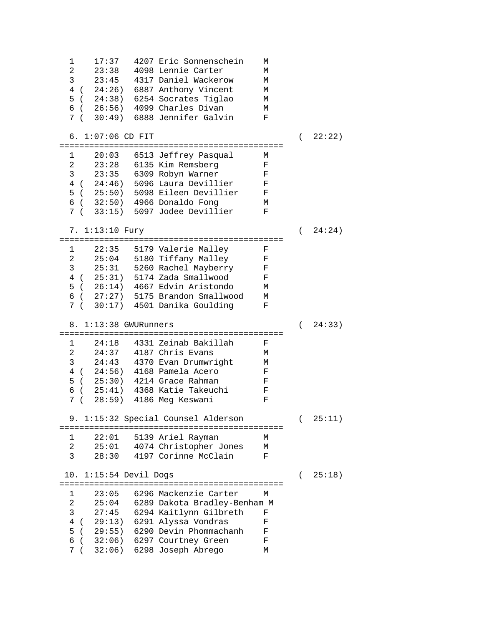1 17:37 4207 Eric Sonnenschein M 2 23:38 4098 Lennie Carter M 23:45 4317 Daniel Wackerow M<br>24:26) 6887 Anthony Vincent M 4 ( 24:26) 6887 Anthony Vincent M 5 ( 24:38) 6254 Socrates Tiglao M 6 ( 26:56) 4099 Charles Divan<br>7 ( 30:49) 6888 Jennifer Galvin F 7 ( 30:49) 6888 Jennifer Galvin F 6. 1:07:06 CD FIT ( 22:22) ============================================= 20:03 6513 Jeffrey Pasqual M<br>23:28 6135 Kim Remsberg Mark 2 23:28 6135 Kim Remsberg F<br>3 23:35 6309 Robyn Warner F 3 23:35 6309 Robyn Warner F 4 ( 24:46) 5096 Laura Devillier F 5 ( 25:50) 5098 Eileen Devillier F 6 ( 32:50) 4966 Donaldo Fong M 7 ( 33:15) 5097 Jodee Devillier F 7. 1:13:10 Fury ( 24:24) ============================================= 22:35 5179 Valerie Malley F 2 25:04 5180 Tiffany Malley F 3 25:31 5260 Rachel Mayberry F 4 ( 25:31) 5174 Zada Smallwood F  $5$  (  $26:14$ ) 4667 Edvin Aristondo 6 ( 27:27) 5175 Brandon Smallwood M<br>7 ( 30:17) 4501 Danika Goulding F 7 ( 30:17) 4501 Danika Goulding F 8. 1:13:38 GWURunners ( 24:33) ============================================= 1 24:18 4331 Zeinab Bakillah F 2 24:37 4187 Chris Evans M<br>3 24:43 4370 Evan Drumwright M 24:43 4370 Evan Drumwright M<br>24:56) 4168 Pamela Acero F 4 ( 24:56) 4168 Pamela Acero F 5 ( 25:30) 4214 Grace Rahman F 6 ( 25:41) 4368 Katie Takeuchi F 7 ( 28:59) 4186 Meg Keswani F 9. 1:15:32 Special Counsel Alderson ( 25:11) ============================================= 1 22:01 5139 Ariel Rayman M<br>2 25:01 4074 Christopher Jones M 25:01 4074 Christopher Jones M<br>28:30 4197 Corinne McClain F 3 28:30 4197 Corinne McClain 10. 1:15:54 Devil Dogs ( 25:18) ============================================= 1 23:05 6296 Mackenzie Carter M 2 25:04 6289 Dakota Bradley-Benham M 27:45 6294 Kaitlynn Gilbreth F<br>29:13) 6291 Alvssa Vondras F 4 ( 29:13) 6291 Alyssa Vondras F 5 ( 29:55) 6290 Devin Phommachanh F 6 ( 32:06) 6297 Courtney Green F 7 ( 32:06) 6298 Joseph Abrego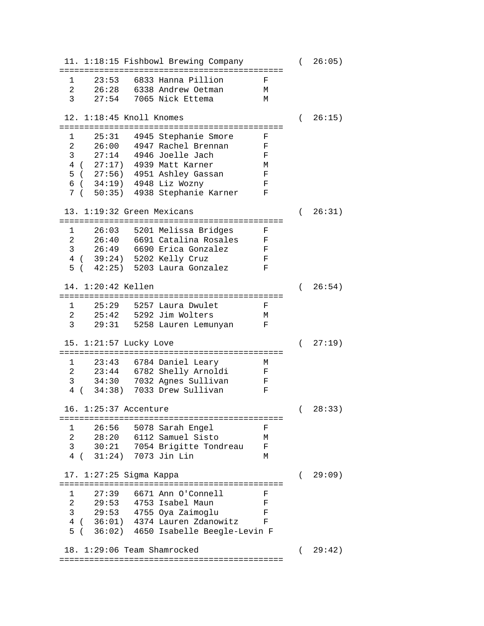11. 1:18:15 Fishbowl Brewing Company ( 26:05) ============================================= 1 23:53 6833 Hanna Pillion F 2 26:28 6338 Andrew Oetman M 27:54 7065 Nick Ettema 12. 1:18:45 Knoll Knomes ( 26:15) ============================================= 1 25:31 4945 Stephanie Smore F 2 26:00 4947 Rachel Brennan F 2 20100 111<br>3 27:14 4946 Joelle Jach F<br>4 ( 27:17) 4939 Matt Karner M 4 ( 27:17) 4939 Matt Karner M 5 ( 27:56) 4951 Ashley Gassan F  $6$  (  $34:19$ ) 4948 Liz Wozny 7 ( 50:35) 4938 Stephanie Karner F 13. 1:19:32 Green Mexicans ( 26:31) ============================================= 1 26:03 5201 Melissa Bridges F 26:40 6691 Catalina Rosales F<br>26:49 6690 Erica Gonzalez F 3 26:49 6690 Erica Gonzalez F<br>4 ( 39:24) 5202 Kelly Cruz F 4 ( 39:24) 5202 Kelly Cruz F<br>5 ( 42:25) 5203 Laura Gonzalez F 5 ( 42:25) 5203 Laura Gonzalez F 14. 1:20:42 Kellen ( 26:54) ============================================= 1 25:29 5257 Laura Dwulet F 2 25:42 5292 Jim Wolters M 3 29:31 5258 Lauren Lemunyan F 15. 1:21:57 Lucky Love ( 27:19) ============================================= 1 23:43 6784 Daniel Leary M<br>2 23:44 6782 Shelly Arnoldi F 2 23:44 6782 Shelly Arnoldi F 3 34:30 7032 Agnes Sullivan F<br>4 ( 34:38) 7033 Drew Sullivan F 4 ( 34:38) 7033 Drew Sullivan F 16. 1:25:37 Accenture ( 28:33) ============================================= 1 26:56 5078 Sarah Engel F 2 28:20 6112 Samuel Sisto M 30:21 7054 Brigitte Tondreau F<br>31:24) 7073 Jin Lin M 4 ( 31:24) 7073 Jin Lin M 17. 1:27:25 Sigma Kappa ( 29:09) ============================================= 1 27:39 6671 Ann O'Connell F<br>2 29:53 4753 Isabel Maun F 2 29:53 4753 Isabel Maun F 3 29:53 4755 Oya Zaimoglu F 4 ( 36:01) 4374 Lauren Zdanowitz F 5 ( 36:02) 4650 Isabelle Beegle-Levin F 18. 1:29:06 Team Shamrocked ( 29:42) =============================================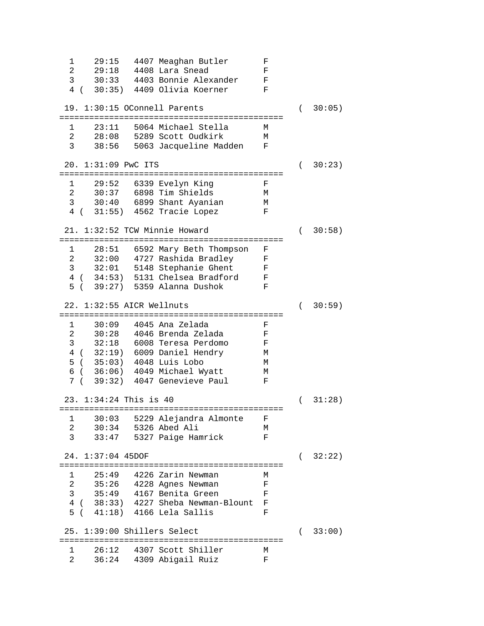1 29:15 4407 Meaghan Butler F 2 29:18 4408 Lara Snead F<br>3 30:33 4403 Bonnie Alexander F 30:33 4403 Bonnie Alexander F<br>30:35) 4409 Olivia Koerner F 4 ( 30:35) 4409 Olivia Koerner F 19. 1:30:15 OConnell Parents ( 30:05) ============================================= 1 23:11 5064 Michael Stella M  $2$   $28:08$   $5289$  Scott Oudkirk<br>3  $38:56$   $5063$  Jacqueline Madde 3 38:56 5063 Jacqueline Madden F 20. 1:31:09 PwC ITS ( 30:23) ============================================= 1 29:52 6339 Evelyn King 2 30:37 6898 Tim Shields M 3 30:40 6899 Shant Ayanian M<br>4 ( 31:55) 4562 Tracie Lopez F 4 ( 31:55) 4562 Tracie Lopez F 21. 1:32:52 TCW Minnie Howard ( 30:58) ============================================= 28:51 6592 Mary Beth Thompson F 2 32:00 4727 Rashida Bradley F 3 32:01 5148 Stephanie Ghent F 4 ( 34:53) 5131 Chelsea Bradford F 5 ( 39:27) 5359 Alanna Dushok F 22. 1:32:55 AICR Wellnuts ( 30:59) ============================================= 1 30:09 4045 Ana Zelada F 2 30:28 4046 Brenda Zelada F 3 32:18 6008 Teresa Perdomo F 4 ( 32:19) 6009 Daniel Hendry M  $5$  (  $35:03$ )  $4048$  Luis Lobo 6 ( 36:06) 4049 Michael Wyatt M 7 ( 39:32) 4047 Genevieve Paul F 23. 1:34:24 This is 40 ( 31:28) ============================================= 1 30:03 5229 Alejandra Almonte F 2 30:34 5326 Abed Ali<br>3 33:47 5327 Paige Ham 3 33:47 5327 Paige Hamrick F 24. 1:37:04 45DOF ( 32:22) ============================================= 1 25:49 4226 Zarin Newman M 2 35:26 4228 Agnes Newman F 3 35:49 4167 Benita Green F 4 ( 38:33) 4227 Sheba Newman-Blount F 5 ( 41:18) 4166 Lela Sallis F 25. 1:39:00 Shillers Select ( 33:00) ============================================= 1 26:12 4307 Scott Shiller M 2 36:24 4309 Abigail Ruiz F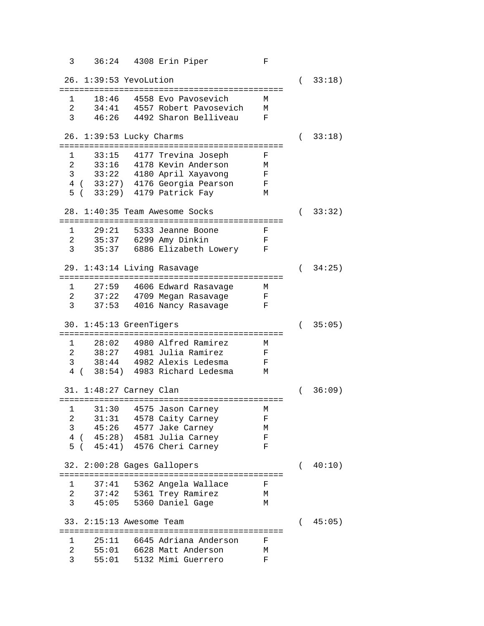3 36:24 4308 Erin Piper F 26. 1:39:53 YevoLution ( 33:18) ============================================= 1 18:46 4558 Evo Pavosevich M 2 34:41 4557 Robert Pavosevich M<br>3 46:26 4492 Sharon Belliveau F 3 46:26 4492 Sharon Belliveau F 26. 1:39:53 Lucky Charms ( 33:18) ============================================= 1 33:15 4177 Trevina Joseph F 2 33:16 4178 Kevin Anderson M<br>3 33:22 4180 April Xayavong F 3 33:22 4180 April Xayavong F 4 ( 33:27) 4176 Georgia Pearson F 5 ( 33:29) 4179 Patrick Fay M 28. 1:40:35 Team Awesome Socks ( 33:32) ============================================= 1 29:21 5333 Jeanne Boone F<br>2 35:37 6299 Amy Dinkin F 2 35:37 6299 Amy Dinkin F 3 35:37 6886 Elizabeth Lowery F 29. 1:43:14 Living Rasavage ( 34:25) ============================================= 1 27:59 4606 Edward Rasavage M 2 37:22 4709 Megan Rasavage F 3 37:53 4016 Nancy Rasavage F 30. 1:45:13 GreenTigers ( 35:05) ============================================= 1 28:02 4980 Alfred Ramirez M 2 38:27 4981 Julia Ramirez F 3 38:44 4982 Alexis Ledesma F 4 ( 38:54) 4983 Richard Ledesma M 31. 1:48:27 Carney Clan ( 36:09) ============================================= 1 31:30 4575 Jason Carney M 2 31:31 4578 Caity Carney F 3 45:26 4577 Jake Carney M 4 ( 45:28) 4581 Julia Carney F 5 ( 45:41) 4576 Cheri Carney F 32. 2:00:28 Gages Gallopers ( 40:10) ============================================= 1 37:41 5362 Angela Wallace F 2 37:42 5361 Trey Ramirez M 45:05 5360 Daniel Gage 33. 2:15:13 Awesome Team ( 45:05) ============================================= 1 25:11 6645 Adriana Anderson F 2 55:01 6628 Matt Anderson M<br>3 55:01 5132 Mimi Guerrero F 3 55:01 5132 Mimi Guerrero F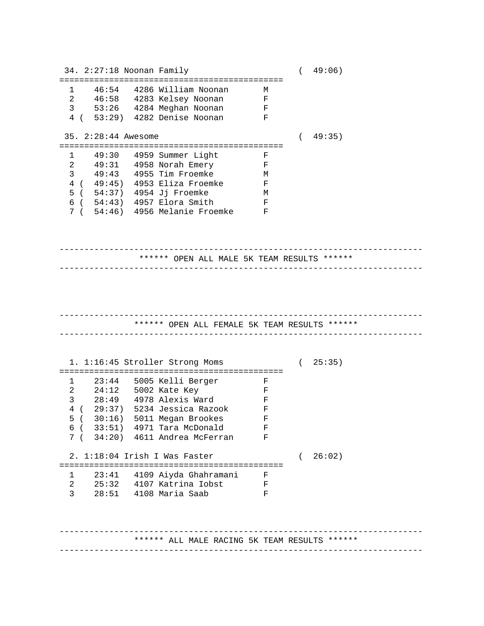34. 2:27:18 Noonan Family ( 49:06) ============================================= 46:54 4286 William Noonan M<br>46:58 4283 Kelsey Noonan F 2 46:58 4283 Kelsey Noonan F 3 53:26 4284 Meghan Noonan F 4 ( 53:29) 4282 Denise Noonan F 35. 2:28:44 Awesome ( 49:35) ============================================= 1 49:30 4959 Summer Light F 2 49:31 4958 Norah Emery F 3 49:43 4955 Tim Froemke M<br>4 (49:45) 4953 Eliza Froemke F 4 ( 49:45) 4953 Eliza Froemke 5 ( 54:37) 4954 Jj Froemke M<br>6 ( 54:43) 4957 Elora Smith F 6 ( 54:43) 4957 Elora Smith F 7 ( 54:46) 4956 Melanie Froemke F ------------------------------------------------------------------------- \*\*\*\*\*\* OPEN ALL MALE 5K TEAM RESULTS \*\*\*\*\*\* ------------------------------------------------------------------------- ------------------------------------------------------------------------- \*\*\*\*\*\* OPEN ALL FEMALE 5K TEAM RESULTS \*\*\*\*\*\* ------------------------------------------------------------------------- 1. 1:16:45 Stroller Strong Moms ( 25:35) ============================================= 1 23:44 5005 Kelli Berger F<br>2 24:12 5002 Kate Kev F 2 24:12 5002 Kate Key F<br>3 28:49 4978 Alexis Ward F 3 28:49 4978 Alexis Ward F 4 ( 29:37) 5234 Jessica Razook F 5 ( 30:16) 5011 Megan Brookes F 6 ( 33:51) 4971 Tara McDonald F 7 ( 34:20) 4611 Andrea McFerran F 2. 1:18:04 Irish I Was Faster ( 26:02) ============================================= 1 23:41 4109 Aiyda Ghahramani F 2 25:32 4107 Katrina Iobst F 3 28:51 4108 Maria Saab F ------------------------------------------------------------------------- \*\*\*\*\*\* ALL MALE RACING 5K TEAM RESULTS \*\*\*\*\*\* -------------------------------------------------------------------------